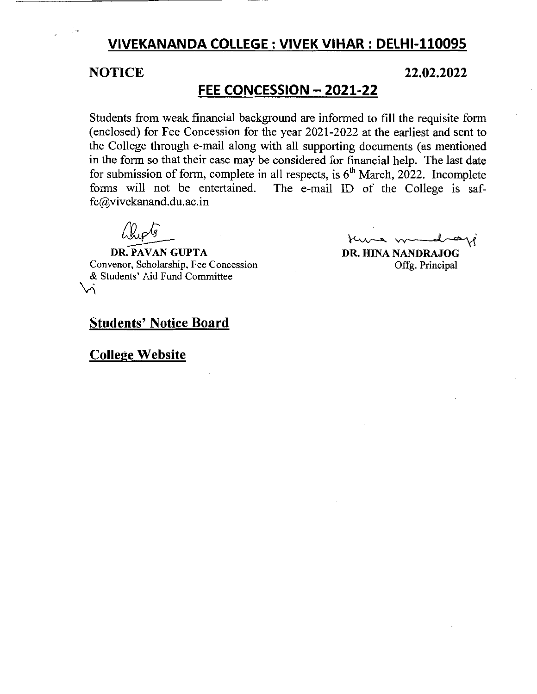# **VIVEKANANDA COLLEGE: VIVEK VIHAR: DELHI-110095**

# **NOTICE 22.02.2022**

# **FEE CONCESSION - 2021-22**

Students from weak financial background are informed to fill the requisite form (enclosed) for Fee Concession for the year 2021-2022 at the earliest and sent to the College through e-mail along with all supporting documents (as mentioned in the form so that their case may be considered for financial help. The last date for submission of form, complete in all respects, is  $6<sup>th</sup>$  March, 2022. Incomplete forms will not be entertained. The e-mail ID of the College is saf-The e-mail ID of the College is saffc@vivekanand.du.ac.in

 $\Omega_{\nu}$ 

DR. PAVAN GUPTA Convenor, Scholarship, Fee Concession & Students' Aid Fund Committee  $\vee$ 

Kung m

**DR.** HINA NANDRAJOG Offg. Principal

# **Students' Notice Board**

# **College Website**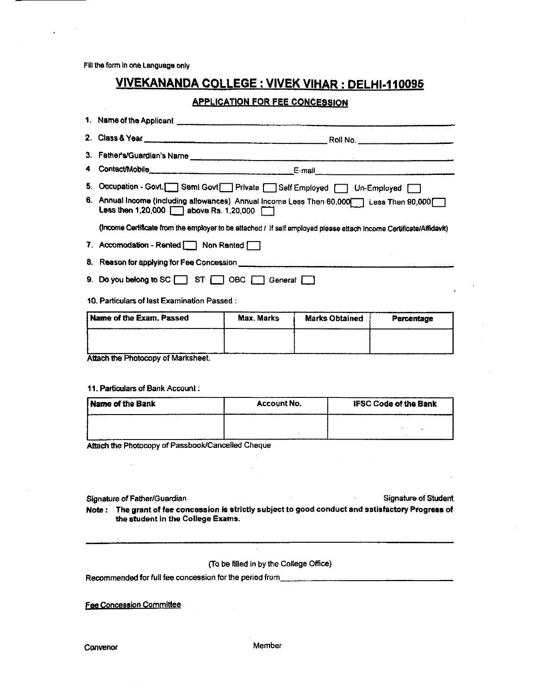Fill the form in one Language only

# **VIVEKANANDA COLLEGE : VIVEK VIHAR : DELHI-110095**

### **APPLICATION FOR FEE CONCESSION**

| 2. Class & Year                                                                                                                                                                                                                | Roll No. |
|--------------------------------------------------------------------------------------------------------------------------------------------------------------------------------------------------------------------------------|----------|
|                                                                                                                                                                                                                                |          |
| where the contract of the contract of the contract of the contract of the contract of the contract of the contract of the contract of the contract of the contract of the contract of the contract of the contract of the cont |          |

3. Father's/Guardian's Name

- 4 Contact/Mobile E-mail
- 5. Occupation Govt.[ Semi Govt | Private | Self Employed | Un-Employed |
- 6. Annual Income (including allowances) Annual Income Less Then 60,000 Less Then 90,000 **Less then 1,20,000 [11] above Rs. 1,20,000 [12]**

(Income Certificate from the employer to be attached / If self employed please ettach income Certificate/Affidavit)

- 7. Accomodation Rented Non Rented
- 8. Reason for applying for Fee Concession
- 9. Do you belong to SC ST ST OBC Seneral C
- 10. Particulars of last Examination Passed :

| Name of the Exam. Passed          | Max. Marks | <b>Marks Obtained</b> | Percentage |
|-----------------------------------|------------|-----------------------|------------|
|                                   |            |                       |            |
| Attach the Dhetenan of Lierbehant |            |                       |            |

Attach the Photocopy of Marksheet.

#### 11. Particulars of Bank Account:

| <b>Name of the Bank</b> | <b>Account No.</b> | <b>IFSC Code of the Bank</b> |
|-------------------------|--------------------|------------------------------|
|                         |                    |                              |
|                         |                    |                              |
|                         |                    |                              |

Attach the Photocopy of Passbook/Cancelled Cheque

Signature of Father/Guardian

**Signature of Student** 

Note: The grant of fee concession is strictly subject to good conduct and satisfactory Progress of the student in the College Exams.

(To be filled in by the College Office)

**Fee Concession Committee** 

Member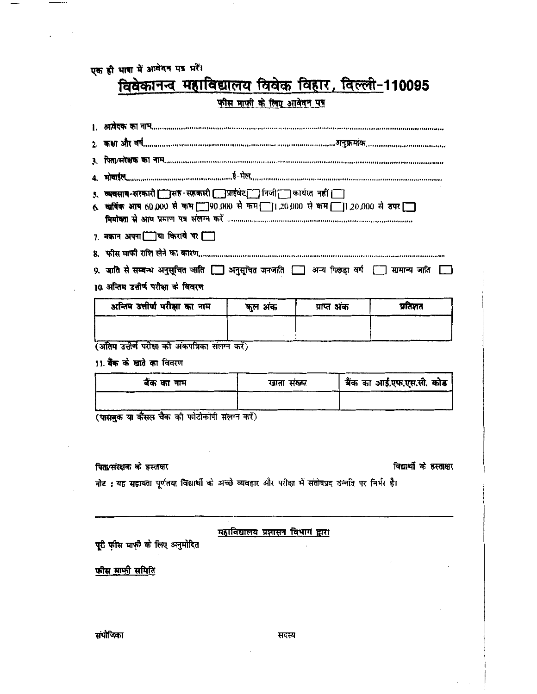एक ही भाषा में आवेदन पत्र भरें।

# विवेकानन्व महाविद्यालय विवेक विहार, विल्ली-110095

# फीस माफी के लिए आवेदन पत्र

| 5. व्यवसाय-सरकारी [ ]सह सहकारी [ ]प्राईवेट [ ] निजी [ ] कार्यरत नहीं [ ]<br>6. खाविंक आप 60,000 से कम 190,000 से कम 1:20,000 से कम 1:20,000 से उपर 1 |                                         |             |                          |
|------------------------------------------------------------------------------------------------------------------------------------------------------|-----------------------------------------|-------------|--------------------------|
| 7. मकान अपना □]या किराये पर □                                                                                                                        |                                         |             |                          |
|                                                                                                                                                      |                                         |             |                          |
| 9. जाति से सम्बन्ध अनुसूचित जाति [ ] अनुसूचित जनजाति [ ] अन्य पिछड़ा वर्ग [ ] सामान्य जाति [ ]                                                       |                                         |             |                          |
| 10. अन्तिम उत्तीर्ण परीक्षा के विवरण                                                                                                                 |                                         |             |                          |
| अन्तिम उत्तीर्ण परीक्षा का नाम                                                                                                                       | कुल अंक                                 | प्राप्त अंक | प्रतिशत                  |
|                                                                                                                                                      |                                         |             |                          |
|                                                                                                                                                      |                                         |             |                          |
|                                                                                                                                                      |                                         |             |                          |
| (अंतिम उत्तीर्ण परीक्षा को अंकपत्रिका संलग्न करें)                                                                                                   |                                         |             |                          |
| 11. बैंक के खाते का विवरण                                                                                                                            |                                         |             |                          |
| बैंक का नाम                                                                                                                                          | खाता संख्या                             |             | बैंक का आई.एफ.एस.सी. कोड |
| (पासबुक या कैंसल चैक को फोटोकॉपी संलग्न करें)                                                                                                        |                                         |             |                          |
| पिता/संरक्षक के हस्ताक्षर                                                                                                                            |                                         |             | विद्यार्थी के हस्ताक्षर  |
| नोट : यह सहायता पूर्णतया विद्यार्थी के अच्छे व्यवहार और परीक्षा में संतोषप्रद उन्नति पर निर्भर है।                                                   |                                         |             |                          |
|                                                                                                                                                      |                                         |             |                          |
| पूरी फ़ीस माफ़ी के लिए अनुमोदित                                                                                                                      | <u>महाविद्यालय प्रशासन विभाग द्वारा</u> |             |                          |